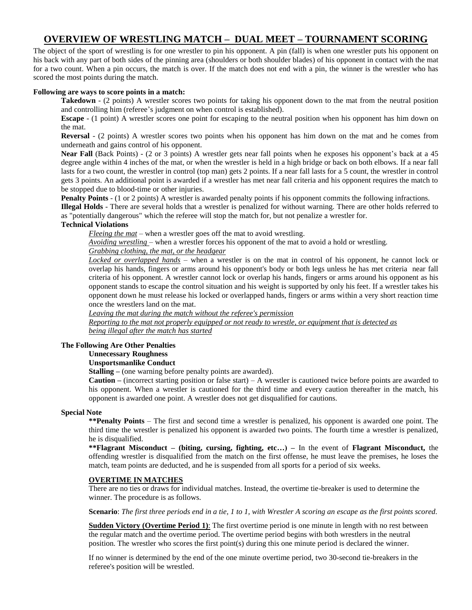# **OVERVIEW OF WRESTLING MATCH – DUAL MEET – TOURNAMENT SCORING**

The object of the sport of wrestling is for one wrestler to pin his opponent. A pin (fall) is when one wrestler puts his opponent on his back with any part of both sides of the pinning area (shoulders or both shoulder blades) of his opponent in contact with the mat for a two count. When a pin occurs, the match is over. If the match does not end with a pin, the winner is the wrestler who has scored the most points during the match.

#### **Following are ways to score points in a match:**

**Takedown** - (2 points) A wrestler scores two points for taking his opponent down to the mat from the neutral position and controlling him (referee's judgment on when control is established).

**Escape** - (1 point) A wrestler scores one point for escaping to the neutral position when his opponent has him down on the mat.

**Reversal** - (2 points) A wrestler scores two points when his opponent has him down on the mat and he comes from underneath and gains control of his opponent.

**Near Fall** (Back Points) - (2 or 3 points) A wrestler gets near fall points when he exposes his opponent's back at a 45 degree angle within 4 inches of the mat, or when the wrestler is held in a high bridge or back on both elbows. If a near fall lasts for a two count, the wrestler in control (top man) gets 2 points. If a near fall lasts for a 5 count, the wrestler in control gets 3 points. An additional point is awarded if a wrestler has met near fall criteria and his opponent requires the match to be stopped due to blood-time or other injuries.

**Penalty Points** - (1 or 2 points) A wrestler is awarded penalty points if his opponent commits the following infractions.

**Illegal Holds** - There are several holds that a wrestler is penalized for without warning. There are other holds referred to as "potentially dangerous" which the referee will stop the match for, but not penalize a wrestler for.

# **Technical Violations**

*Fleeing the mat* – when a wrestler goes off the mat to avoid wrestling.

*Avoiding wrestling* – when a wrestler forces his opponent of the mat to avoid a hold or wrestling.

# *Grabbing clothing, the mat, or the headgear*

*Locked or overlapped hands* – when a wrestler is on the mat in control of his opponent, he cannot lock or overlap his hands, fingers or arms around his opponent's body or both legs unless he has met criteria near fall criteria of his opponent. A wrestler cannot lock or overlap his hands, fingers or arms around his opponent as his opponent stands to escape the control situation and his weight is supported by only his feet. If a wrestler takes his opponent down he must release his locked or overlapped hands, fingers or arms within a very short reaction time once the wrestlers land on the mat.

#### *Leaving the mat during the match without the referee's permission*

*Reporting to the mat not properly equipped or not ready to wrestle, or equipment that is detected as being illegal after the match has started* 

# **The Following Are Other Penalties**

# **Unnecessary Roughness**

#### **Unsportsmanlike Conduct**

**Stalling** – (one warning before penalty points are awarded).

**Caution –** (incorrect starting position or false start) – A wrestler is cautioned twice before points are awarded to his opponent. When a wrestler is cautioned for the third time and every caution thereafter in the match, his opponent is awarded one point. A wrestler does not get disqualified for cautions.

#### **Special Note**

**\*\*Penalty Points** – The first and second time a wrestler is penalized, his opponent is awarded one point. The third time the wrestler is penalized his opponent is awarded two points. The fourth time a wrestler is penalized, he is disqualified.

**\*\*Flagrant Misconduct – (biting, cursing, fighting, etc…) –** In the event of **Flagrant Misconduct,** the offending wrestler is disqualified from the match on the first offense, he must leave the premises, he loses the match, team points are deducted, and he is suspended from all sports for a period of six weeks.

#### **OVERTIME IN MATCHES**

There are no ties or draws for individual matches. Instead, the overtime tie-breaker is used to determine the winner. The procedure is as follows.

**Scenario**: *The first three periods end in a tie, 1 to 1, with Wrestler A scoring an escape as the first points scored.*

**Sudden Victory (Overtime Period 1)**: The first overtime period is one minute in length with no rest between the regular match and the overtime period. The overtime period begins with both wrestlers in the neutral position. The wrestler who scores the first point(s) during this one minute period is declared the winner.

If no winner is determined by the end of the one minute overtime period, two 30-second tie-breakers in the referee's position will be wrestled.